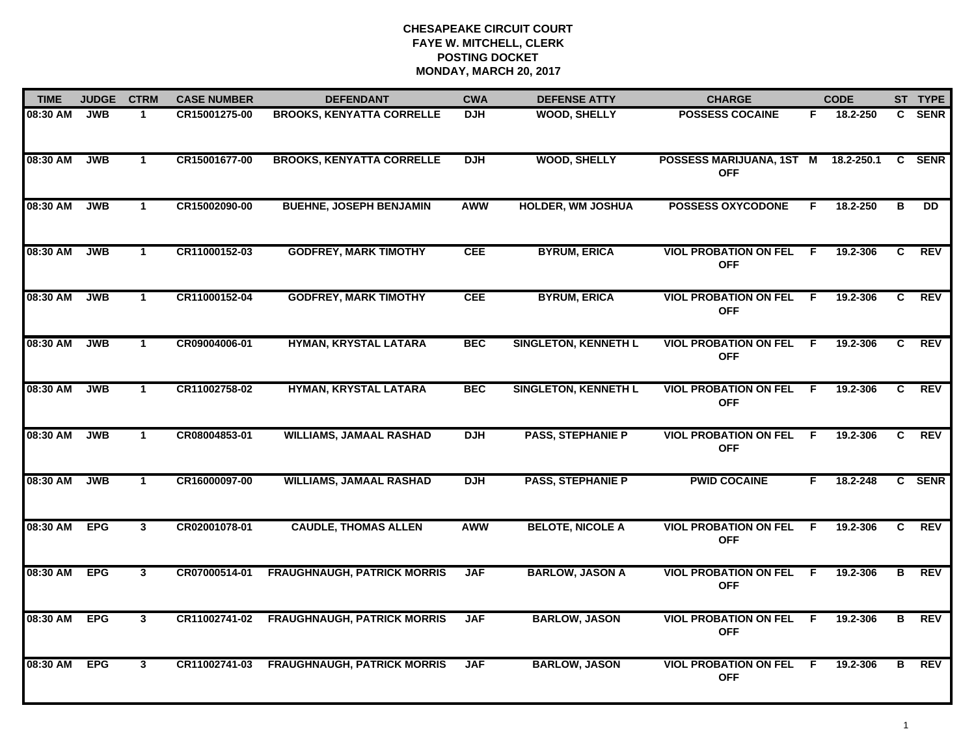| <b>TIME</b> | <b>JUDGE</b> | <b>CTRM</b>          | <b>CASE NUMBER</b> | <b>DEFENDANT</b>                   | <b>CWA</b> | <b>DEFENSE ATTY</b>         | <b>CHARGE</b>                                |     | <b>CODE</b> |                | ST TYPE         |
|-------------|--------------|----------------------|--------------------|------------------------------------|------------|-----------------------------|----------------------------------------------|-----|-------------|----------------|-----------------|
| 08:30 AM    | <b>JWB</b>   | $\mathbf 1$          | CR15001275-00      | <b>BROOKS, KENYATTA CORRELLE</b>   | <b>DJH</b> | <b>WOOD, SHELLY</b>         | <b>POSSESS COCAINE</b>                       | F.  | 18.2-250    |                | C SENR          |
| 08:30 AM    | <b>JWB</b>   | $\mathbf 1$          | CR15001677-00      | <b>BROOKS, KENYATTA CORRELLE</b>   | <b>DJH</b> | <b>WOOD, SHELLY</b>         | POSSESS MARIJUANA, 1ST M<br><b>OFF</b>       |     | 18.2-250.1  |                | C SENR          |
| 08:30 AM    | <b>JWB</b>   | $\mathbf{1}$         | CR15002090-00      | <b>BUEHNE, JOSEPH BENJAMIN</b>     | <b>AWW</b> | <b>HOLDER, WM JOSHUA</b>    | <b>POSSESS OXYCODONE</b>                     | F   | 18.2-250    | в              | $\overline{DD}$ |
| 08:30 AM    | <b>JWB</b>   | $\mathbf 1$          | CR11000152-03      | <b>GODFREY, MARK TIMOTHY</b>       | <b>CEE</b> | <b>BYRUM, ERICA</b>         | <b>VIOL PROBATION ON FEL</b><br><b>OFF</b>   | - F | 19.2-306    | C              | <b>REV</b>      |
| 08:30 AM    | <b>JWB</b>   | $\mathbf{1}$         | CR11000152-04      | <b>GODFREY, MARK TIMOTHY</b>       | <b>CEE</b> | <b>BYRUM, ERICA</b>         | <b>VIOL PROBATION ON FEL</b><br><b>OFF</b>   | F.  | 19.2-306    | $\mathbf{c}$   | <b>REV</b>      |
| 08:30 AM    | <b>JWB</b>   | $\mathbf{1}$         | CR09004006-01      | HYMAN, KRYSTAL LATARA              | <b>BEC</b> | <b>SINGLETON, KENNETH L</b> | <b>VIOL PROBATION ON FEL</b><br><b>OFF</b>   | F.  | 19.2-306    | C.             | <b>REV</b>      |
| 08:30 AM    | <b>JWB</b>   | $\mathbf{1}$         | CR11002758-02      | HYMAN, KRYSTAL LATARA              | <b>BEC</b> | <b>SINGLETON, KENNETH L</b> | <b>VIOL PROBATION ON FEL</b><br><b>OFF</b>   | F.  | 19.2-306    | $\mathbf{c}$   | <b>REV</b>      |
| 08:30 AM    | <b>JWB</b>   | $\mathbf{1}$         | CR08004853-01      | <b>WILLIAMS, JAMAAL RASHAD</b>     | <b>DJH</b> | <b>PASS, STEPHANIE P</b>    | <b>VIOL PROBATION ON FEL</b><br><b>OFF</b>   | F.  | 19.2-306    | C.             | <b>REV</b>      |
| 08:30 AM    | <b>JWB</b>   | $\blacktriangleleft$ | CR16000097-00      | <b>WILLIAMS, JAMAAL RASHAD</b>     | <b>DJH</b> | <b>PASS, STEPHANIE P</b>    | <b>PWID COCAINE</b>                          | F   | 18.2-248    |                | C SENR          |
| 08:30 AM    | <b>EPG</b>   | $\mathbf{3}$         | CR02001078-01      | <b>CAUDLE, THOMAS ALLEN</b>        | <b>AWW</b> | <b>BELOTE, NICOLE A</b>     | <b>VIOL PROBATION ON FEL</b><br><b>OFF</b>   | -F  | 19.2-306    | $\mathbf{C}$   | <b>REV</b>      |
| 08:30 AM    | <b>EPG</b>   | $\mathbf{3}$         | CR07000514-01      | <b>FRAUGHNAUGH, PATRICK MORRIS</b> | <b>JAF</b> | <b>BARLOW, JASON A</b>      | <b>VIOL PROBATION ON FEL F</b><br><b>OFF</b> |     | 19.2-306    | B              | <b>REV</b>      |
| 08:30 AM    | <b>EPG</b>   | $\mathbf{3}$         | CR11002741-02      | <b>FRAUGHNAUGH, PATRICK MORRIS</b> | <b>JAF</b> | <b>BARLOW, JASON</b>        | <b>VIOL PROBATION ON FEL</b><br><b>OFF</b>   | F.  | 19.2-306    | $\overline{B}$ | <b>REV</b>      |
| 08:30 AM    | <b>EPG</b>   | $\mathbf{3}$         | CR11002741-03      | <b>FRAUGHNAUGH, PATRICK MORRIS</b> | <b>JAF</b> | <b>BARLOW, JASON</b>        | <b>VIOL PROBATION ON FEL</b><br><b>OFF</b>   | -F  | 19.2-306    | В              | <b>REV</b>      |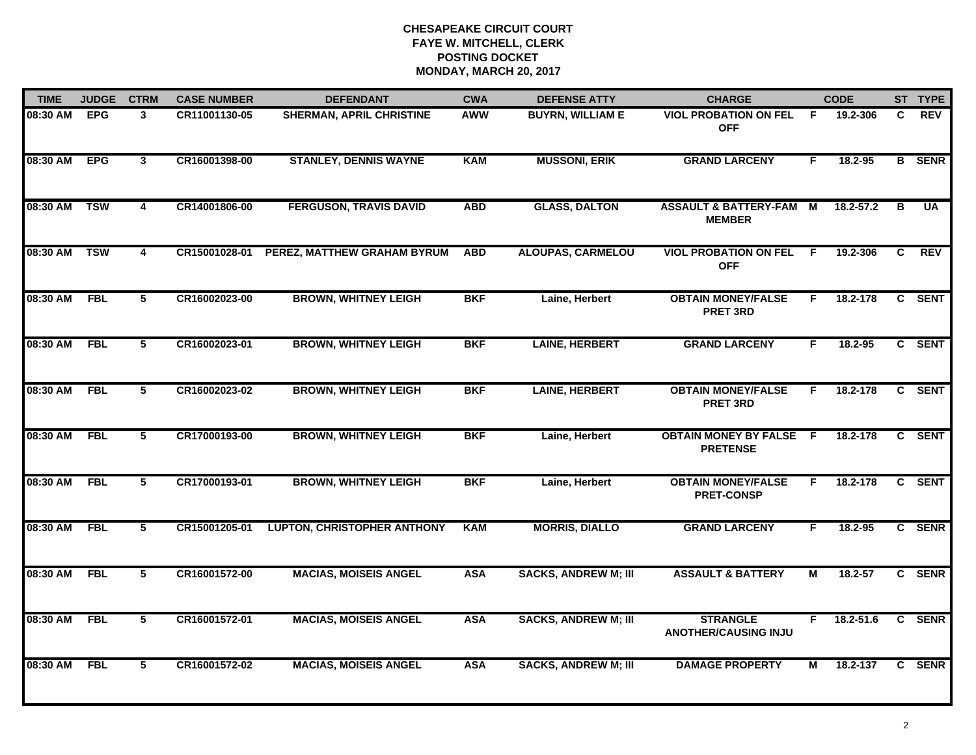| <b>TIME</b> | <b>JUDGE</b> | <b>CTRM</b>    | <b>CASE NUMBER</b> | <b>DEFENDANT</b>                   | <b>CWA</b> | <b>DEFENSE ATTY</b>         | <b>CHARGE</b>                                     |    | <b>CODE</b> |    | ST TYPE       |
|-------------|--------------|----------------|--------------------|------------------------------------|------------|-----------------------------|---------------------------------------------------|----|-------------|----|---------------|
| 08:30 AM    | <b>EPG</b>   | 3              | CR11001130-05      | SHERMAN, APRIL CHRISTINE           | AWW        | <b>BUYRN, WILLIAM E</b>     | <b>VIOL PROBATION ON FEL</b><br><b>OFF</b>        | F. | 19.2-306    | C. | <b>REV</b>    |
| 08:30 AM    | <b>EPG</b>   | $\mathbf{3}$   | CR16001398-00      | <b>STANLEY, DENNIS WAYNE</b>       | <b>KAM</b> | <b>MUSSONI, ERIK</b>        | <b>GRAND LARCENY</b>                              | F. | 18.2-95     |    | <b>B</b> SENR |
| 08:30 AM    | <b>TSW</b>   | 4              | CR14001806-00      | <b>FERGUSON, TRAVIS DAVID</b>      | <b>ABD</b> | <b>GLASS, DALTON</b>        | <b>ASSAULT &amp; BATTERY-FAM</b><br><b>MEMBER</b> | M  | 18.2-57.2   | в  | <b>UA</b>     |
| 08:30 AM    | <b>TSW</b>   | 4              | CR15001028-01      | PEREZ, MATTHEW GRAHAM BYRUM        | <b>ABD</b> | <b>ALOUPAS, CARMELOU</b>    | <b>VIOL PROBATION ON FEL</b><br><b>OFF</b>        | F. | 19.2-306    | C  | <b>REV</b>    |
| 08:30 AM    | <b>FBL</b>   | 5              | CR16002023-00      | <b>BROWN, WHITNEY LEIGH</b>        | <b>BKF</b> | Laine, Herbert              | <b>OBTAIN MONEY/FALSE</b><br><b>PRET 3RD</b>      | F. | 18.2-178    |    | C SENT        |
| 08:30 AM    | FBL          | 5              | CR16002023-01      | <b>BROWN, WHITNEY LEIGH</b>        | <b>BKF</b> | <b>LAINE, HERBERT</b>       | <b>GRAND LARCENY</b>                              | F. | 18.2-95     |    | C SENT        |
| 08:30 AM    | FBL          | $\overline{5}$ | CR16002023-02      | <b>BROWN, WHITNEY LEIGH</b>        | <b>BKF</b> | <b>LAINE, HERBERT</b>       | <b>OBTAIN MONEY/FALSE</b><br><b>PRET 3RD</b>      | F. | 18.2-178    |    | C SENT        |
| 08:30 AM    | FBL          | 5              | CR17000193-00      | <b>BROWN, WHITNEY LEIGH</b>        | <b>BKF</b> | Laine, Herbert              | <b>OBTAIN MONEY BY FALSE F</b><br><b>PRETENSE</b> |    | 18.2-178    |    | C SENT        |
| 08:30 AM    | <b>FBL</b>   | 5              | CR17000193-01      | <b>BROWN, WHITNEY LEIGH</b>        | <b>BKF</b> | Laine, Herbert              | <b>OBTAIN MONEY/FALSE</b><br><b>PRET-CONSP</b>    | F. | 18.2-178    |    | C SENT        |
| 08:30 AM    | <b>FBL</b>   | 5              | CR15001205-01      | <b>LUPTON, CHRISTOPHER ANTHONY</b> | <b>KAM</b> | <b>MORRIS, DIALLO</b>       | <b>GRAND LARCENY</b>                              | F. | $18.2 - 95$ |    | C SENR        |
| 08:30 AM    | <b>FBL</b>   | 5              | CR16001572-00      | <b>MACIAS, MOISEIS ANGEL</b>       | <b>ASA</b> | <b>SACKS, ANDREW M; III</b> | <b>ASSAULT &amp; BATTERY</b>                      | Μ  | 18.2-57     |    | C SENR        |
| 08:30 AM    | <b>FBL</b>   | 5              | CR16001572-01      | <b>MACIAS, MOISEIS ANGEL</b>       | <b>ASA</b> | <b>SACKS, ANDREW M; III</b> | <b>STRANGLE</b><br><b>ANOTHER/CAUSING INJU</b>    | F. | 18.2-51.6   |    | C SENR        |
| 08:30 AM    | <b>FBL</b>   | 5              | CR16001572-02      | <b>MACIAS, MOISEIS ANGEL</b>       | <b>ASA</b> | <b>SACKS, ANDREW M; III</b> | <b>DAMAGE PROPERTY</b>                            | м  | 18.2-137    |    | C SENR        |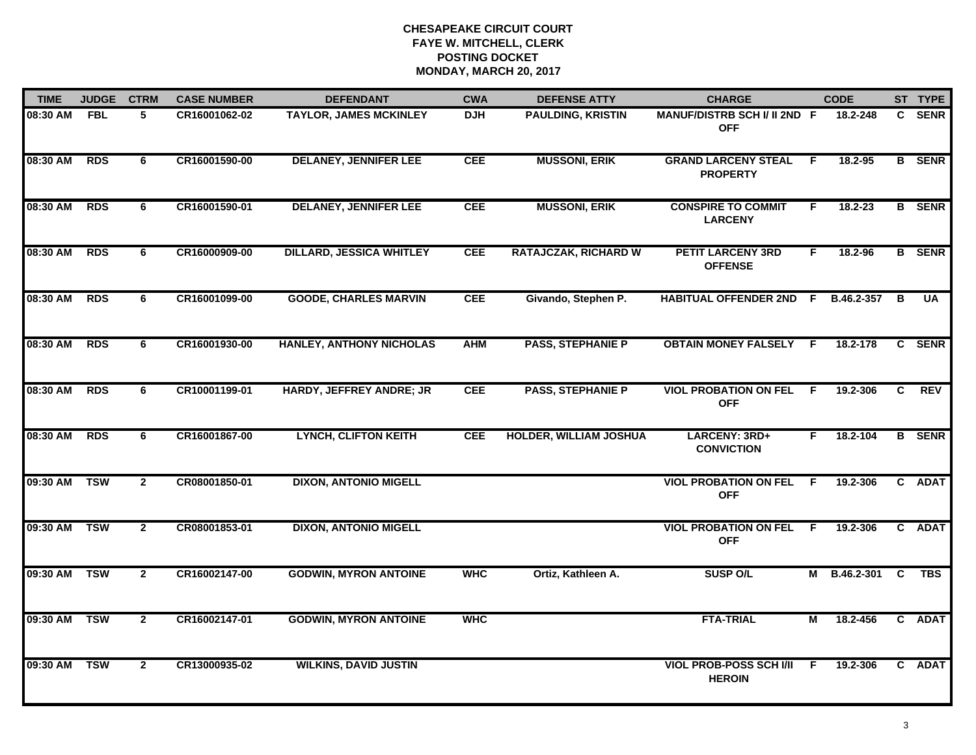| <b>TIME</b> | <b>JUDGE</b> | <b>CTRM</b>    | <b>CASE NUMBER</b> | <b>DEFENDANT</b>                | <b>CWA</b> | <b>DEFENSE ATTY</b>           | <b>CHARGE</b>                                   |    | <b>CODE</b>  |   | ST TYPE       |
|-------------|--------------|----------------|--------------------|---------------------------------|------------|-------------------------------|-------------------------------------------------|----|--------------|---|---------------|
| 08:30 AM    | <b>FBL</b>   | 5              | CR16001062-02      | <b>TAYLOR, JAMES MCKINLEY</b>   | <b>DJH</b> | <b>PAULDING, KRISTIN</b>      | MANUF/DISTRB SCH I/ II 2ND F<br><b>OFF</b>      |    | 18.2-248     |   | C SENR        |
| 08:30 AM    | <b>RDS</b>   | 6              | CR16001590-00      | <b>DELANEY, JENNIFER LEE</b>    | <b>CEE</b> | <b>MUSSONI, ERIK</b>          | <b>GRAND LARCENY STEAL</b><br><b>PROPERTY</b>   | F. | 18.2-95      |   | <b>B</b> SENR |
| 08:30 AM    | <b>RDS</b>   | 6              | CR16001590-01      | <b>DELANEY, JENNIFER LEE</b>    | <b>CEE</b> | <b>MUSSONI, ERIK</b>          | <b>CONSPIRE TO COMMIT</b><br><b>LARCENY</b>     | F  | $18.2 - 23$  |   | <b>B</b> SENR |
| 08:30 AM    | <b>RDS</b>   | 6              | CR16000909-00      | <b>DILLARD, JESSICA WHITLEY</b> | <b>CEE</b> | <b>RATAJCZAK, RICHARD W</b>   | <b>PETIT LARCENY 3RD</b><br><b>OFFENSE</b>      | F. | 18.2-96      |   | <b>B</b> SENR |
| 08:30 AM    | <b>RDS</b>   | 6              | CR16001099-00      | <b>GOODE, CHARLES MARVIN</b>    | <b>CEE</b> | Givando, Stephen P.           | <b>HABITUAL OFFENDER 2ND F</b>                  |    | B.46.2-357   | в | <b>UA</b>     |
| 08:30 AM    | <b>RDS</b>   | 6              | CR16001930-00      | <b>HANLEY, ANTHONY NICHOLAS</b> | <b>AHM</b> | <b>PASS, STEPHANIE P</b>      | <b>OBTAIN MONEY FALSELY F</b>                   |    | 18.2-178     |   | C SENR        |
| 08:30 AM    | <b>RDS</b>   | 6              | CR10001199-01      | <b>HARDY, JEFFREY ANDRE; JR</b> | <b>CEE</b> | <b>PASS, STEPHANIE P</b>      | <b>VIOL PROBATION ON FEL</b><br><b>OFF</b>      | F. | 19.2-306     | C | <b>REV</b>    |
| 08:30 AM    | <b>RDS</b>   | 6              | CR16001867-00      | <b>LYNCH, CLIFTON KEITH</b>     | <b>CEE</b> | <b>HOLDER, WILLIAM JOSHUA</b> | <b>LARCENY: 3RD+</b><br><b>CONVICTION</b>       | F. | 18.2-104     |   | <b>B</b> SENR |
| 09:30 AM    | <b>TSW</b>   | $\overline{2}$ | CR08001850-01      | <b>DIXON, ANTONIO MIGELL</b>    |            |                               | <b>VIOL PROBATION ON FEL</b><br><b>OFF</b>      | -F | 19.2-306     |   | C ADAT        |
| 09:30 AM    | <b>TSW</b>   | $\mathbf{2}$   | CR08001853-01      | <b>DIXON, ANTONIO MIGELL</b>    |            |                               | <b>VIOL PROBATION ON FEL</b><br><b>OFF</b>      | -F | 19.2-306     |   | C ADAT        |
| 09:30 AM    | <b>TSW</b>   | $\mathbf{2}$   | CR16002147-00      | <b>GODWIN, MYRON ANTOINE</b>    | <b>WHC</b> | Ortiz, Kathleen A.            | <b>SUSP O/L</b>                                 |    | M B.46.2-301 | C | <b>TBS</b>    |
| 09:30 AM    | <b>TSW</b>   | $\overline{2}$ | CR16002147-01      | <b>GODWIN, MYRON ANTOINE</b>    | <b>WHC</b> |                               | <b>FTA-TRIAL</b>                                | М  | 18.2-456     |   | C ADAT        |
| 09:30 AM    | <b>TSW</b>   | $\mathbf{2}$   | CR13000935-02      | <b>WILKINS, DAVID JUSTIN</b>    |            |                               | <b>VIOL PROB-POSS SCH I/II</b><br><b>HEROIN</b> | F. | 19.2-306     |   | C ADAT        |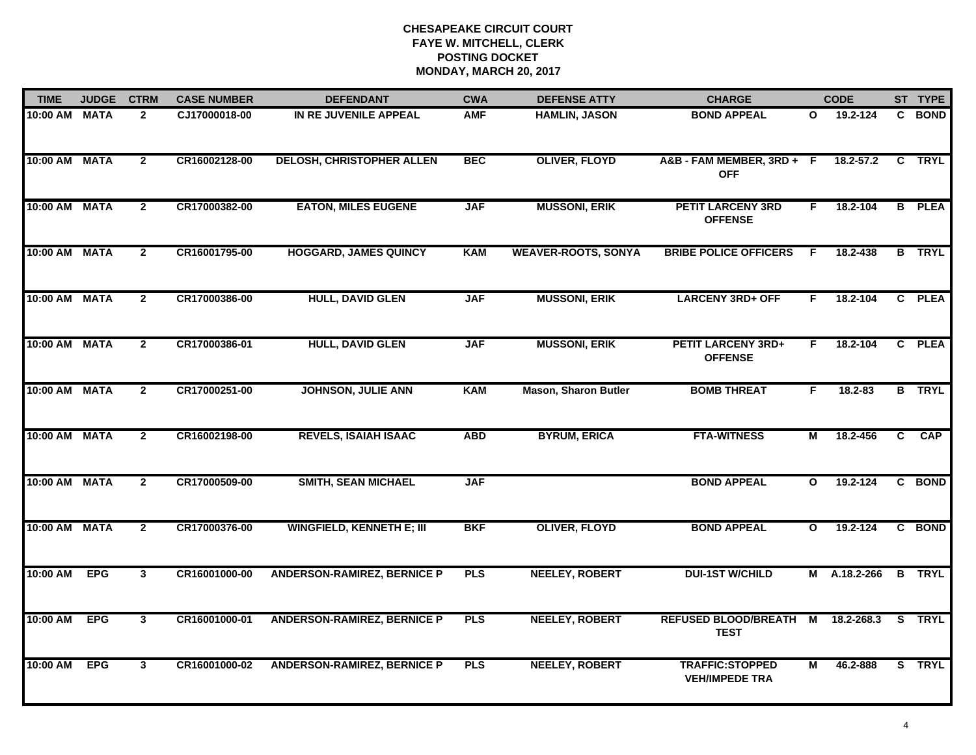| <b>TIME</b>   | <b>JUDGE</b> | <b>CTRM</b>             | <b>CASE NUMBER</b> | <b>DEFENDANT</b>                   | <b>CWA</b> | <b>DEFENSE ATTY</b>         | <b>CHARGE</b>                                   |              | <b>CODE</b>   |                | ST TYPE       |
|---------------|--------------|-------------------------|--------------------|------------------------------------|------------|-----------------------------|-------------------------------------------------|--------------|---------------|----------------|---------------|
| 10:00 AM      | <b>MATA</b>  | $\overline{2}$          | CJ17000018-00      | IN RE JUVENILE APPEAL              | <b>AMF</b> | <b>HAMLIN, JASON</b>        | <b>BOND APPEAL</b>                              | O            | 19.2-124      | C.             | <b>BOND</b>   |
| 10:00 AM      | <b>MATA</b>  | $\overline{2}$          | CR16002128-00      | DELOSH, CHRISTOPHER ALLEN          | <b>BEC</b> | <b>OLIVER, FLOYD</b>        | A&B - FAM MEMBER, 3RD + F<br><b>OFF</b>         |              | $18.2 - 57.2$ |                | C TRYL        |
| 10:00 AM      | <b>MATA</b>  | $\mathbf{2}$            | CR17000382-00      | <b>EATON, MILES EUGENE</b>         | <b>JAF</b> | <b>MUSSONI, ERIK</b>        | <b>PETIT LARCENY 3RD</b><br><b>OFFENSE</b>      | F.           | 18.2-104      |                | <b>B</b> PLEA |
| 10:00 AM      | <b>MATA</b>  | $\mathbf{2}$            | CR16001795-00      | <b>HOGGARD, JAMES QUINCY</b>       | <b>KAM</b> | <b>WEAVER-ROOTS, SONYA</b>  | <b>BRIBE POLICE OFFICERS</b>                    | F.           | 18.2-438      | B.             | <b>TRYL</b>   |
| 10:00 AM      | <b>MATA</b>  | $\mathbf{2}$            | CR17000386-00      | <b>HULL, DAVID GLEN</b>            | <b>JAF</b> | <b>MUSSONI, ERIK</b>        | <b>LARCENY 3RD+ OFF</b>                         | F.           | 18.2-104      |                | C PLEA        |
| 10:00 AM MATA |              | $\overline{2}$          | CR17000386-01      | <b>HULL, DAVID GLEN</b>            | <b>JAF</b> | <b>MUSSONI, ERIK</b>        | <b>PETIT LARCENY 3RD+</b><br><b>OFFENSE</b>     | F.           | 18.2-104      |                | C PLEA        |
| 10:00 AM      | <b>MATA</b>  | $\overline{2}$          | CR17000251-00      | <b>JOHNSON, JULIE ANN</b>          | <b>KAM</b> | <b>Mason, Sharon Butler</b> | <b>BOMB THREAT</b>                              | F.           | $18.2 - 83$   |                | <b>B</b> TRYL |
| 10:00 AM MATA |              | $\overline{2}$          | CR16002198-00      | <b>REVELS, ISAIAH ISAAC</b>        | <b>ABD</b> | <b>BYRUM, ERICA</b>         | <b>FTA-WITNESS</b>                              | М            | 18.2-456      | $\overline{c}$ | CAP           |
| 10:00 AM      | <b>MATA</b>  | $\overline{2}$          | CR17000509-00      | <b>SMITH, SEAN MICHAEL</b>         | <b>JAF</b> |                             | <b>BOND APPEAL</b>                              | $\mathbf{o}$ | 19.2-124      |                | C BOND        |
| 10:00 AM      | <b>MATA</b>  | $\overline{2}$          | CR17000376-00      | <b>WINGFIELD, KENNETH E; III</b>   | <b>BKF</b> | <b>OLIVER, FLOYD</b>        | <b>BOND APPEAL</b>                              | $\mathbf{o}$ | 19.2-124      |                | C BOND        |
| 10:00 AM      | <b>EPG</b>   | $\mathbf{3}$            | CR16001000-00      | <b>ANDERSON-RAMIREZ, BERNICE P</b> | <b>PLS</b> | <b>NEELEY, ROBERT</b>       | <b>DUI-1ST W/CHILD</b>                          |              | M A.18.2-266  |                | <b>B</b> TRYL |
| 10:00 AM      | <b>EPG</b>   | $\overline{\mathbf{3}}$ | CR16001000-01      | <b>ANDERSON-RAMIREZ, BERNICE P</b> | <b>PLS</b> | <b>NEELEY, ROBERT</b>       | <b>REFUSED BLOOD/BREATH M</b><br><b>TEST</b>    |              | 18.2-268.3    |                | S TRYL        |
| 10:00 AM      | <b>EPG</b>   | $\mathbf{3}$            | CR16001000-02      | <b>ANDERSON-RAMIREZ, BERNICE P</b> | <b>PLS</b> | <b>NEELEY, ROBERT</b>       | <b>TRAFFIC:STOPPED</b><br><b>VEH/IMPEDE TRA</b> | М            | 46.2-888      |                | S TRYL        |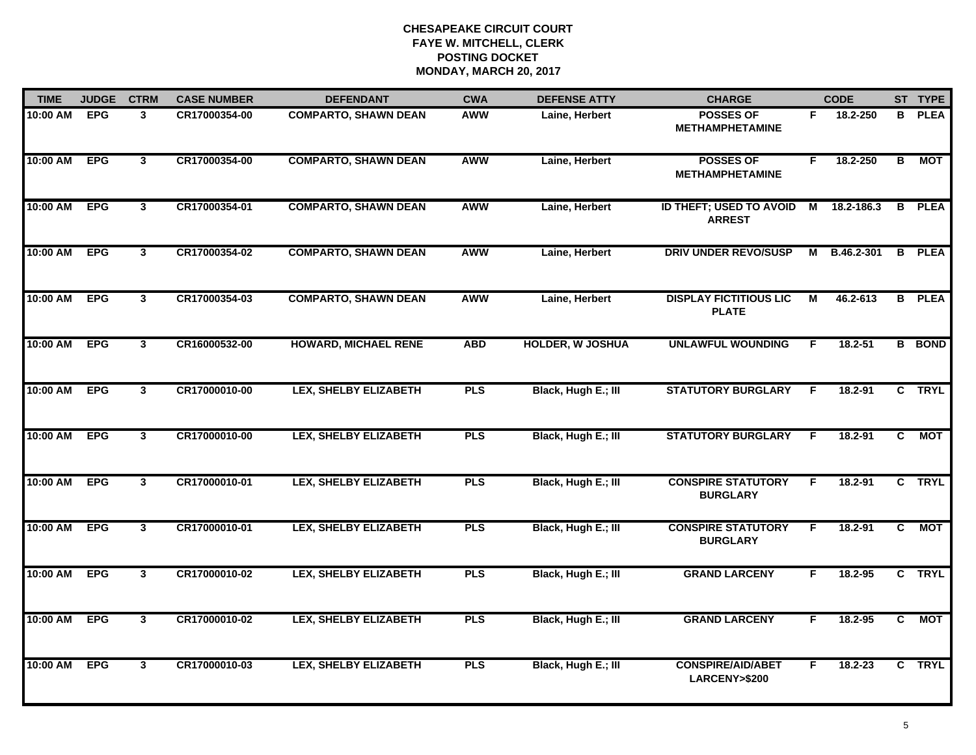| <b>TIME</b>  | <b>JUDGE</b> | <b>CTRM</b>             | <b>CASE NUMBER</b> | <b>DEFENDANT</b>             | <b>CWA</b> | <b>DEFENSE ATTY</b>     | <b>CHARGE</b>                                       |    | <b>CODE</b> |                         | ST TYPE       |
|--------------|--------------|-------------------------|--------------------|------------------------------|------------|-------------------------|-----------------------------------------------------|----|-------------|-------------------------|---------------|
| 10:00 AM     | <b>EPG</b>   | 3                       | CR17000354-00      | <b>COMPARTO, SHAWN DEAN</b>  | AWW        | Laine, Herbert          | <b>POSSES OF</b><br><b>METHAMPHETAMINE</b>          | F. | 18.2-250    |                         | <b>B</b> PLEA |
| 10:00 AM     | <b>EPG</b>   | $\mathbf{3}$            | CR17000354-00      | <b>COMPARTO, SHAWN DEAN</b>  | <b>AWW</b> | Laine, Herbert          | <b>POSSES OF</b><br><b>METHAMPHETAMINE</b>          | F. | 18.2-250    | $\overline{\mathbf{B}}$ | <b>MOT</b>    |
| 10:00 AM     | <b>EPG</b>   | $\mathbf{3}$            | CR17000354-01      | <b>COMPARTO, SHAWN DEAN</b>  | <b>AWW</b> | Laine, Herbert          | ID THEFT; USED TO AVOID<br><b>ARREST</b>            | M  | 18.2-186.3  |                         | <b>B</b> PLEA |
| 10:00 AM     | <b>EPG</b>   | $\mathbf{3}$            | CR17000354-02      | <b>COMPARTO, SHAWN DEAN</b>  | <b>AWW</b> | Laine, Herbert          | <b>DRIV UNDER REVO/SUSP</b>                         | М  | B.46.2-301  |                         | <b>B</b> PLEA |
| 10:00 AM     | <b>EPG</b>   | $\mathbf{3}$            | CR17000354-03      | <b>COMPARTO, SHAWN DEAN</b>  | <b>AWW</b> | Laine, Herbert          | <b>DISPLAY FICTITIOUS LIC</b><br><b>PLATE</b>       | М  | 46.2-613    |                         | <b>B</b> PLEA |
| 10:00 AM EPG |              | $\mathbf{3}$            | CR16000532-00      | <b>HOWARD, MICHAEL RENE</b>  | <b>ABD</b> | <b>HOLDER, W JOSHUA</b> | <b>UNLAWFUL WOUNDING</b>                            | F. | $18.2 - 51$ |                         | <b>B</b> BOND |
| 10:00 AM EPG |              | $\mathbf{3}$            | CR17000010-00      | LEX, SHELBY ELIZABETH        | <b>PLS</b> | Black, Hugh E.; III     | <b>STATUTORY BURGLARY</b>                           | F. | 18.2-91     |                         | C TRYL        |
| 10:00 AM     | <b>EPG</b>   | $\mathbf{3}$            | CR17000010-00      | <b>LEX, SHELBY ELIZABETH</b> | <b>PLS</b> | Black, Hugh E.; III     | <b>STATUTORY BURGLARY</b>                           | -F | 18.2-91     | C                       | <b>MOT</b>    |
| 10:00 AM     | <b>EPG</b>   | $\mathbf{3}$            | CR17000010-01      | <b>LEX, SHELBY ELIZABETH</b> | <b>PLS</b> | Black, Hugh E.; III     | <b>CONSPIRE STATUTORY</b><br><b>BURGLARY</b>        | F  | $18.2 - 91$ |                         | C TRYL        |
| 10:00 AM     | <b>EPG</b>   | 3 <sup>1</sup>          | CR17000010-01      | <b>LEX, SHELBY ELIZABETH</b> | <b>PLS</b> | Black, Hugh E.; III     | <b>CONSPIRE STATUTORY</b><br><b>BURGLARY</b>        | F. | $18.2 - 91$ | C                       | <b>MOT</b>    |
| 10:00 AM EPG |              | $\mathbf{3}$            | CR17000010-02      | <b>LEX, SHELBY ELIZABETH</b> | <b>PLS</b> | Black, Hugh E.; III     | <b>GRAND LARCENY</b>                                | F. | 18.2-95     |                         | C TRYL        |
| 10:00 AM     | <b>EPG</b>   | $\overline{\mathbf{3}}$ | CR17000010-02      | <b>LEX, SHELBY ELIZABETH</b> | <b>PLS</b> | Black, Hugh E.; III     | <b>GRAND LARCENY</b>                                | F  | 18.2-95     | $\overline{c}$          | <b>MOT</b>    |
| 10:00 AM     | <b>EPG</b>   | $\mathbf{3}$            | CR17000010-03      | <b>LEX, SHELBY ELIZABETH</b> | <b>PLS</b> | Black, Hugh E.; III     | <b>CONSPIRE/AID/ABET</b><br><b>LARCENY&gt;\$200</b> | F. | 18.2-23     |                         | C TRYL        |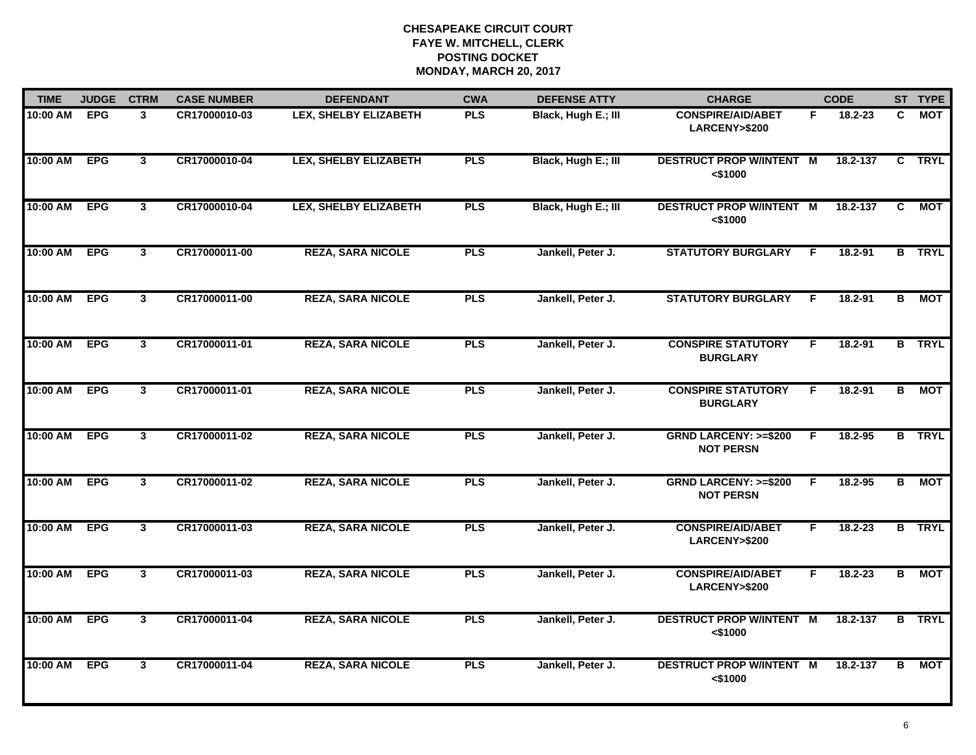| <b>TIME</b> | <b>JUDGE</b> | <b>CTRM</b>    | <b>CASE NUMBER</b> | <b>DEFENDANT</b>             | <b>CWA</b> | <b>DEFENSE ATTY</b> | <b>CHARGE</b>                                       |    | <b>CODE</b> |                | ST TYPE       |
|-------------|--------------|----------------|--------------------|------------------------------|------------|---------------------|-----------------------------------------------------|----|-------------|----------------|---------------|
| 10:00 AM    | <b>EPG</b>   | 3              | CR17000010-03      | LEX, SHELBY ELIZABETH        | <b>PLS</b> | Black, Hugh E.; III | <b>CONSPIRE/AID/ABET</b><br>LARCENY>\$200           | F. | 18.2-23     | C.             | МОТ           |
| 10:00 AM    | <b>EPG</b>   | $\mathbf{3}$   | CR17000010-04      | <b>LEX, SHELBY ELIZABETH</b> | <b>PLS</b> | Black, Hugh E.; III | <b>DESTRUCT PROP W/INTENT M</b><br>$<$ \$1000       |    | 18.2-137    | C              | <b>TRYL</b>   |
| 10:00 AM    | <b>EPG</b>   | $\mathbf{3}$   | CR17000010-04      | <b>LEX, SHELBY ELIZABETH</b> | <b>PLS</b> | Black, Hugh E.; III | <b>DESTRUCT PROP W/INTENT M</b><br>$<$ \$1000       |    | 18.2-137    | C              | MOT           |
| 10:00 AM    | <b>EPG</b>   | $\mathbf{3}$   | CR17000011-00      | <b>REZA, SARA NICOLE</b>     | <b>PLS</b> | Jankell, Peter J.   | <b>STATUTORY BURGLARY</b>                           | F. | $18.2 - 91$ |                | <b>B</b> TRYL |
| 10:00 AM    | <b>EPG</b>   | 3 <sup>1</sup> | CR17000011-00      | <b>REZA, SARA NICOLE</b>     | <b>PLS</b> | Jankell, Peter J.   | <b>STATUTORY BURGLARY</b>                           | F. | $18.2 - 91$ | в              | MOT           |
| 10:00 AM    | <b>EPG</b>   | $\mathbf{3}$   | CR17000011-01      | <b>REZA, SARA NICOLE</b>     | <b>PLS</b> | Jankell, Peter J.   | <b>CONSPIRE STATUTORY</b><br><b>BURGLARY</b>        | F. | 18.2-91     |                | <b>B</b> TRYL |
| 10:00 AM    | <b>EPG</b>   | $\overline{3}$ | CR17000011-01      | <b>REZA, SARA NICOLE</b>     | <b>PLS</b> | Jankell, Peter J.   | <b>CONSPIRE STATUTORY</b><br><b>BURGLARY</b>        | F  | 18.2-91     | $\overline{B}$ | MOT           |
| 10:00 AM    | <b>EPG</b>   | $\mathbf{3}$   | CR17000011-02      | <b>REZA, SARA NICOLE</b>     | <b>PLS</b> | Jankell, Peter J.   | <b>GRND LARCENY: &gt;=\$200</b><br><b>NOT PERSN</b> | E  | 18.2-95     |                | <b>B</b> TRYL |
| 10:00 AM    | <b>EPG</b>   | $\mathbf{3}$   | CR17000011-02      | <b>REZA, SARA NICOLE</b>     | <b>PLS</b> | Jankell, Peter J.   | <b>GRND LARCENY: &gt;=\$200</b><br><b>NOT PERSN</b> | F  | 18.2-95     | в              | МОТ           |
| 10:00 AM    | <b>EPG</b>   | $\mathbf{3}$   | CR17000011-03      | <b>REZA, SARA NICOLE</b>     | <b>PLS</b> | Jankell, Peter J.   | <b>CONSPIRE/AID/ABET</b><br>LARCENY>\$200           | F. | $18.2 - 23$ |                | <b>B</b> TRYL |
| 10:00 AM    | <b>EPG</b>   | $\mathbf{3}$   | CR17000011-03      | <b>REZA, SARA NICOLE</b>     | <b>PLS</b> | Jankell, Peter J.   | <b>CONSPIRE/AID/ABET</b><br>LARCENY>\$200           | F. | 18.2-23     | B              | <b>MOT</b>    |
| 10:00 AM    | <b>EPG</b>   | 3 <sup>1</sup> | CR17000011-04      | <b>REZA, SARA NICOLE</b>     | <b>PLS</b> | Jankell, Peter J.   | <b>DESTRUCT PROP W/INTENT M</b><br>< \$1000         |    | 18.2-137    |                | <b>B</b> TRYL |
| 10:00 AM    | <b>EPG</b>   | $\mathbf{3}$   | CR17000011-04      | <b>REZA, SARA NICOLE</b>     | <b>PLS</b> | Jankell, Peter J.   | <b>DESTRUCT PROP W/INTENT M</b><br>< \$1000         |    | 18.2-137    | В              | МОТ           |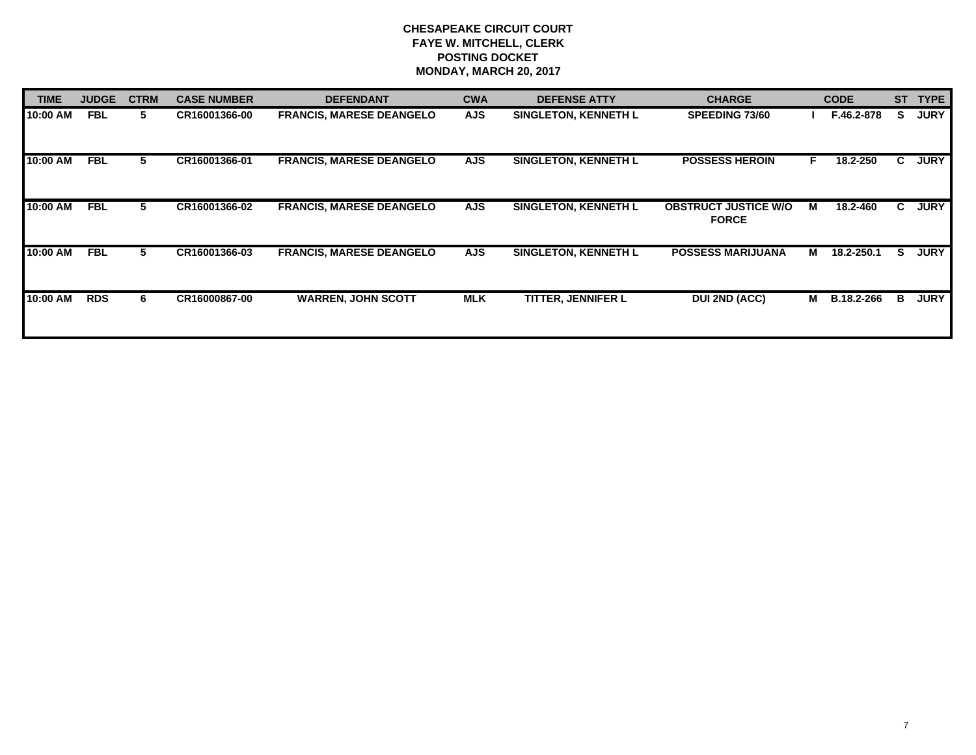| <b>TIME</b> | <b>JUDGE</b> | <b>CTRM</b> | <b>CASE NUMBER</b> | <b>DEFENDANT</b>                | <b>CWA</b> | <b>DEFENSE ATTY</b>         | <b>CHARGE</b>                               |    | <b>CODE</b>       | <b>ST</b> | <b>TYPE</b> |
|-------------|--------------|-------------|--------------------|---------------------------------|------------|-----------------------------|---------------------------------------------|----|-------------------|-----------|-------------|
| 10:00 AM    | <b>FBL</b>   | 5.          | CR16001366-00      | <b>FRANCIS, MARESE DEANGELO</b> | <b>AJS</b> | <b>SINGLETON, KENNETH L</b> | <b>SPEEDING 73/60</b>                       |    | F.46.2-878        | s         | <b>JURY</b> |
| 10:00 AM    | <b>FBL</b>   | 5.          | CR16001366-01      | <b>FRANCIS, MARESE DEANGELO</b> | <b>AJS</b> | <b>SINGLETON, KENNETH L</b> | <b>POSSESS HEROIN</b>                       | F. | 18.2-250          | C.        | <b>JURY</b> |
| 10:00 AM    | <b>FBL</b>   | 5           | CR16001366-02      | <b>FRANCIS, MARESE DEANGELO</b> | <b>AJS</b> | <b>SINGLETON, KENNETH L</b> | <b>OBSTRUCT JUSTICE W/O</b><br><b>FORCE</b> | м  | 18.2-460          | C.        | <b>JURY</b> |
| 10:00 AM    | <b>FBL</b>   | 5           | CR16001366-03      | <b>FRANCIS, MARESE DEANGELO</b> | <b>AJS</b> | <b>SINGLETON, KENNETH L</b> | <b>POSSESS MARIJUANA</b>                    | м  | 18.2-250.1        | S.        | <b>JURY</b> |
| 10:00 AM    | <b>RDS</b>   | 6.          | CR16000867-00      | <b>WARREN, JOHN SCOTT</b>       | <b>MLK</b> | <b>TITTER, JENNIFER L</b>   | <b>DUI 2ND (ACC)</b>                        | м  | <b>B.18.2-266</b> | в         | <b>JURY</b> |